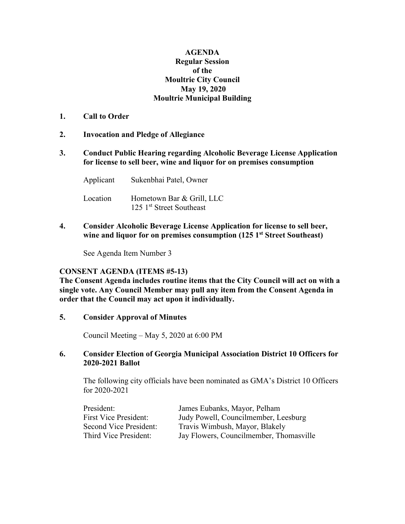## **AGENDA Regular Session of the Moultrie City Council May 19, 2020 Moultrie Municipal Building**

- **1. Call to Order**
- **2. Invocation and Pledge of Allegiance**
- **3. Conduct Public Hearing regarding Alcoholic Beverage License Application for license to sell beer, wine and liquor for on premises consumption**

Applicant Sukenbhai Patel, Owner Location Hometown Bar & Grill, LLC 125 1<sup>st</sup> Street Southeast

**4. Consider Alcoholic Beverage License Application for license to sell beer, wine and liquor for on premises consumption (125 1st Street Southeast)**

See Agenda Item Number 3

## **CONSENT AGENDA (ITEMS #5-13)**

**The Consent Agenda includes routine items that the City Council will act on with a single vote. Any Council Member may pull any item from the Consent Agenda in order that the Council may act upon it individually.**

**5. Consider Approval of Minutes**

Council Meeting – May 5, 2020 at 6:00 PM

## **6. Consider Election of Georgia Municipal Association District 10 Officers for 2020-2021 Ballot**

The following city officials have been nominated as GMA's District 10 Officers for 2020-2021

| President:                   | James Eubanks, Mayor, Pelham            |
|------------------------------|-----------------------------------------|
| <b>First Vice President:</b> | Judy Powell, Councilmember, Leesburg    |
| Second Vice President:       | Travis Wimbush, Mayor, Blakely          |
| Third Vice President:        | Jay Flowers, Councilmember, Thomasville |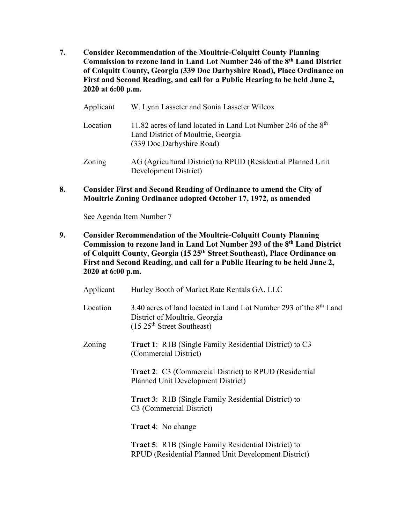- **7. Consider Recommendation of the Moultrie-Colquitt County Planning Commission to rezone land in Land Lot Number 246 of the 8th Land District of Colquitt County, Georgia (339 Doc Darbyshire Road), Place Ordinance on First and Second Reading, and call for a Public Hearing to be held June 2, 2020 at 6:00 p.m.**
	- Applicant W. Lynn Lasseter and Sonia Lasseter Wilcox Location 11.82 acres of land located in Land Lot Number 246 of the 8<sup>th</sup> Land District of Moultrie, Georgia (339 Doc Darbyshire Road) Zoning AG (Agricultural District) to RPUD (Residential Planned Unit Development District)
- **8. Consider First and Second Reading of Ordinance to amend the City of Moultrie Zoning Ordinance adopted October 17, 1972, as amended**

See Agenda Item Number 7

**9. Consider Recommendation of the Moultrie-Colquitt County Planning Commission to rezone land in Land Lot Number 293 of the 8th Land District of Colquitt County, Georgia (15 25th Street Southeast), Place Ordinance on First and Second Reading, and call for a Public Hearing to be held June 2, 2020 at 6:00 p.m.**

| Applicant | Hurley Booth of Market Rate Rentals GA, LLC                                                                                                             |
|-----------|---------------------------------------------------------------------------------------------------------------------------------------------------------|
| Location  | 3.40 acres of land located in Land Lot Number 293 of the 8 <sup>th</sup> Land<br>District of Moultrie, Georgia<br>(15.25 <sup>th</sup> Street Southern) |
| Zoning    | <b>Tract 1:</b> R1B (Single Family Residential District) to C3<br>(Commercial District)                                                                 |
|           | <b>Tract 2:</b> C3 (Commercial District) to RPUD (Residential<br>Planned Unit Development District)                                                     |
|           | <b>Tract 3:</b> R1B (Single Family Residential District) to<br>C <sub>3</sub> (Commercial District)                                                     |
|           | <b>Tract 4:</b> No change                                                                                                                               |
|           | <b>Tract 5:</b> R1B (Single Family Residential District) to<br>RPUD (Residential Planned Unit Development District)                                     |